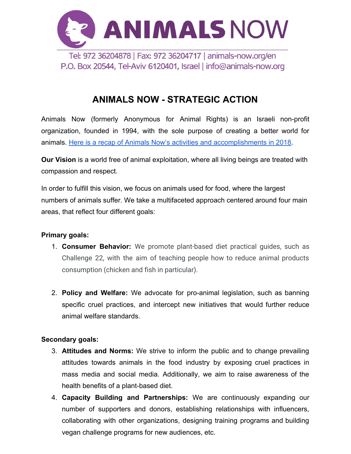

# **ANIMALS NOW - STRATEGIC ACTION**

Animals Now (formerly Anonymous for Animal Rights) is an Israeli non-profit organization, founded in 1994, with the sole purpose of creating a better world for animals. [Here is a recap of Animals Now's activities and accomplishments in 2018](https://animals-now.org/en/2018-recap/).

**Our Vision** is a world free of animal exploitation, where all living beings are treated with compassion and respect.

In order to fulfill this vision, we focus on animals used for food, where the largest numbers of animals suffer. We take a multifaceted approach centered around four main areas, that reflect four different goals:

### **Primary goals:**

- 1. **Consumer Behavior:** We promote plant-based diet practical guides, such as Challenge 22, with the aim of teaching people how to reduce animal products consumption (chicken and fish in particular).
- 2. **Policy and Welfare:** We advocate for pro-animal legislation, such as banning specific cruel practices, and intercept new initiatives that would further reduce animal welfare standards.

### **Secondary goals:**

- 3. **Attitudes and Norms:** We strive to inform the public and to change prevailing attitudes towards animals in the food industry by exposing cruel practices in mass media and social media. Additionally, we aim to raise awareness of the health benefits of a plant-based diet.
- 4. **Capacity Building and Partnerships:** We are continuously expanding our number of supporters and donors, establishing relationships with influencers, collaborating with other organizations, designing training programs and building vegan challenge programs for new audiences, etc.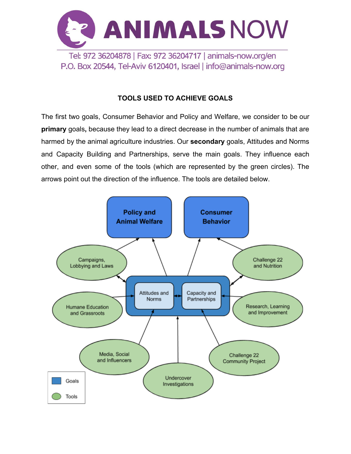

### **TOOLS USED TO ACHIEVE GOALS**

The first two goals, Consumer Behavior and Policy and Welfare, we consider to be our **primary** goals**,** because they lead to a direct decrease in the number of animals that are harmed by the animal agriculture industries. Our **secondary** goals, Attitudes and Norms and Capacity Building and Partnerships, serve the main goals. They influence each other, and even some of the tools (which are represented by the green circles). The arrows point out the direction of the influence. The tools are detailed below.

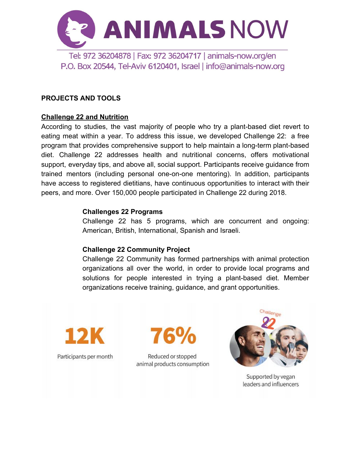

#### **PROJECTS AND TOOLS**

#### **Challenge 22 and Nutrition**

According to studies, the vast majority of people who try a plant-based diet revert to eating meat within a year. To address this issue, we developed Challenge 22: a free program that provides comprehensive support to help maintain a long-term plant-based diet. Challenge 22 addresses health and nutritional concerns, offers motivational support, everyday tips, and above all, social support. Participants receive guidance from trained mentors (including personal one-on-one mentoring). In addition, participants have access to registered dietitians, have continuous opportunities to interact with their peers, and more. Over 150,000 people participated in Challenge 22 during 2018.

#### **Challenges 22 Programs**

Challenge 22 has 5 programs, which are concurrent and ongoing: American, British, International, Spanish and Israeli.

#### **Challenge 22 Community Project**

Challenge 22 Community has formed partnerships with animal protection organizations all over the world, in order to provide local programs and solutions for people interested in trying a plant-based diet. Member organizations receive training, guidance, and grant opportunities.



Reduced or stopped animal products consumption



Supported by vegan leaders and influencers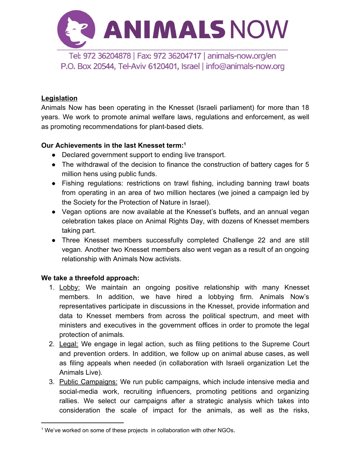

### **Legislation**

Animals Now has been operating in the Knesset (Israeli parliament) for more than 18 years. We work to promote animal welfare laws, regulations and enforcement, as well as promoting recommendations for plant-based diets.

### **Our Achievements in the last Knesset term:<sup>1</sup>**

- Declared government support to ending live transport.
- The withdrawal of the decision to finance the construction of battery cages for 5 million hens using public funds.
- Fishing regulations: restrictions on trawl fishing, including banning trawl boats from operating in an area of two million hectares (we joined a campaign led by the Society for the Protection of Nature in Israel).
- Vegan options are now available at the Knesset's buffets, and an annual vegan celebration takes place on Animal Rights Day, with dozens of Knesset members taking part.
- Three Knesset members successfully completed Challenge 22 and are still vegan. Another two Knesset members also went vegan as a result of an ongoing relationship with Animals Now activists.

### **We take a threefold approach:**

- 1. Lobby: We maintain an ongoing positive relationship with many Knesset members. In addition, we have hired a lobbying firm. Animals Now's representatives participate in discussions in the Knesset, provide information and data to Knesset members from across the political spectrum, and meet with ministers and executives in the government offices in order to promote the legal protection of animals.
- 2. Legal: We engage in legal action, such as filing petitions to the Supreme Court and prevention orders. In addition, we follow up on animal abuse cases, as well as filing appeals when needed (in collaboration with Israeli organization Let the Animals Live).
- 3. Public Campaigns: We run public campaigns, which include intensive media and social-media work, recruiting influencers, promoting petitions and organizing rallies. We select our campaigns after a strategic analysis which takes into consideration the scale of impact for the animals, as well as the risks,

<sup>&</sup>lt;sup>1</sup> We've worked on some of these projects in collaboration with other NGOs.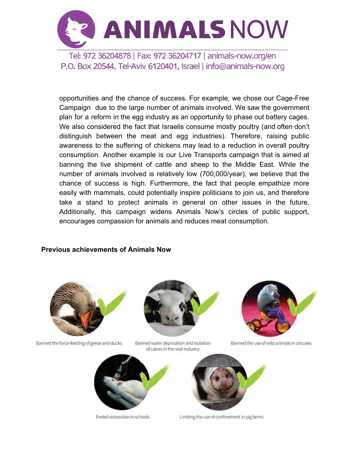

opportunities and the chance of success. For example, we chose our Cage-Free Campaign due to the large number of animals involved. We saw the government plan for a reform in the egg industry as an opportunity to phase out battery cages. We also considered the fact that Israelis consume mostly poultry (and often don't distinguish between the meat and egg industries). Therefore, raising public awareness to the suffering of chickens may lead to a reduction in overall poultry consumption. Another example is our Live Transports campaign that is aimed at banning the live shipment of cattle and sheep to the Middle East. While the number of animals involved is relatively low (700,000/year), we believe that the chance of success is high. Furthermore, the fact that people empathize more easily with mammals, could potentially inspire politicians to join us, and therefore take a stand to protect animals in general on other issues in the future. Additionally, this campaign widens Animals Now's circles of public support, encourages compassion for animals and reduces meat consumption.

#### **Previous achievements of Animals Now**



Banned the force-feeding of geese and ducks



Banned water deprivation and isolation of calves in the veal industry



Ended vivisection in schools



Limiting the use of confinement in pig farms



Banned the use of wild animals in circuses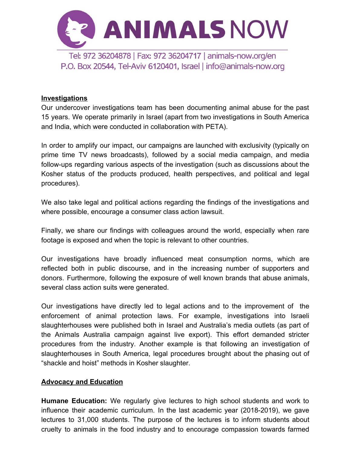

### **Investigations**

Our undercover investigations team has been documenting animal abuse for the past 15 years. We operate primarily in Israel (apart from two investigations in South America and India, which were conducted in collaboration with PETA).

In order to amplify our impact, our campaigns are launched with exclusivity (typically on prime time TV news broadcasts), followed by a social media campaign, and media follow-ups regarding various aspects of the investigation (such as discussions about the Kosher status of the products produced, health perspectives, and political and legal procedures).

We also take legal and political actions regarding the findings of the investigations and where possible, encourage a consumer class action lawsuit.

Finally, we share our findings with colleagues around the world, especially when rare footage is exposed and when the topic is relevant to other countries.

Our investigations have broadly influenced meat consumption norms, which are reflected both in public discourse, and in the increasing number of supporters and donors. Furthermore, following the exposure of well known brands that abuse animals, several class action suits were generated.

Our investigations have directly led to legal actions and to the improvement of the enforcement of animal protection laws. For example, investigations into Israeli slaughterhouses were published both in Israel and Australia's media outlets (as part of the Animals Australia campaign against live export). This effort demanded stricter procedures from the industry. Another example is that following an investigation of slaughterhouses in South America, legal procedures brought about the phasing out of "shackle and hoist" methods in Kosher slaughter.

#### **Advocacy and Education**

**Humane Education:** We regularly give lectures to high school students and work to influence their academic curriculum. In the last academic year (2018-2019), we gave lectures to 31,000 students. The purpose of the lectures is to inform students about cruelty to animals in the food industry and to encourage compassion towards farmed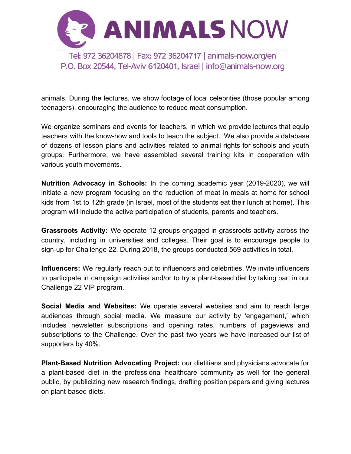

animals. During the lectures, we show footage of local celebrities (those popular among teenagers), encouraging the audience to reduce meat consumption.

We organize seminars and events for teachers, in which we provide lectures that equip teachers with the know-how and tools to teach the subject. We also provide a database of dozens of lesson plans and activities related to animal rights for schools and youth groups. Furthermore, we have assembled several training kits in cooperation with various youth movements.

**Nutrition Advocacy in Schools:** In the coming academic year (2019-2020), we will initiate a new program focusing on the reduction of meat in meals at home for school kids from 1st to 12th grade (in Israel, most of the students eat their lunch at home). This program will include the active participation of students, parents and teachers.

**Grassroots Activity:** We operate 12 groups engaged in grassroots activity across the country, including in universities and colleges. Their goal is to encourage people to sign-up for Challenge 22. During 2018, the groups conducted 569 activities in total.

**Influencers:** We regularly reach out to influencers and celebrities. We invite influencers to participate in campaign activities and/or to try a plant-based diet by taking part in our Challenge 22 VIP program.

**Social Media and Websites:** We operate several websites and aim to reach large audiences through social media. We measure our activity by 'engagement,' which includes newsletter subscriptions and opening rates, numbers of pageviews and subscriptions to the Challenge. Over the past two years we have increased our list of supporters by 40%.

**Plant-Based Nutrition Advocating Project:** our dietitians and physicians advocate for a plant-based diet in the professional healthcare community as well for the general public, by publicizing new research findings, drafting position papers and giving lectures on plant-based diets.